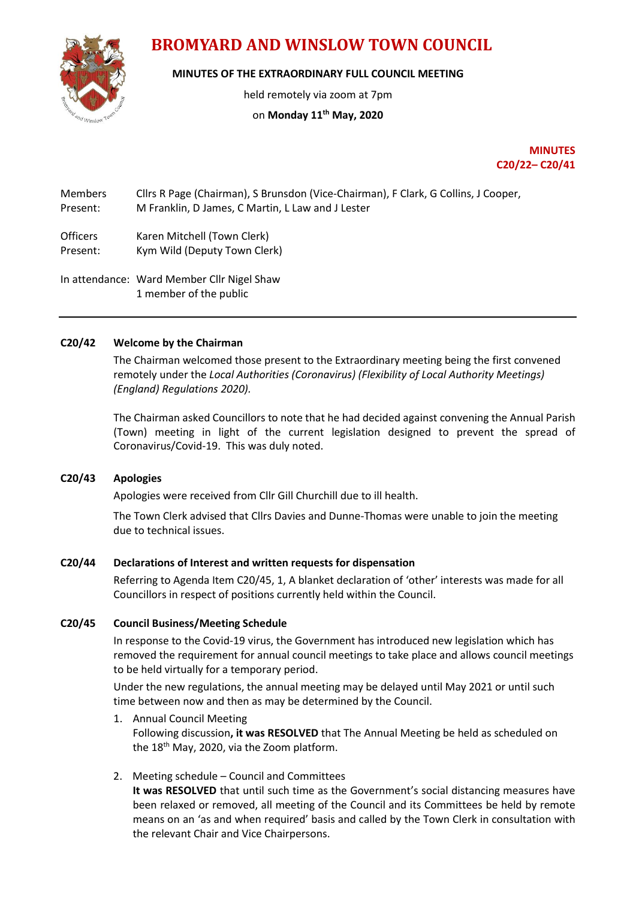# **BROMYARD AND WINSLOW TOWN COUNCIL**

**MINUTES OF THE EXTRAORDINARY FULL COUNCIL MEETING**

held remotely via zoom at 7pm

## on **Monday 11th May, 2020**

**MINUTES C20/22– C20/41**

Members Cllrs R Page (Chairman), S Brunsdon (Vice-Chairman), F Clark, G Collins, J Cooper, Present: M Franklin, D James, C Martin, L Law and J Lester

Officers Karen Mitchell (Town Clerk) Present: Kym Wild (Deputy Town Clerk)

In attendance: Ward Member Cllr Nigel Shaw 1 member of the public

#### **C20/42 Welcome by the Chairman**

The Chairman welcomed those present to the Extraordinary meeting being the first convened remotely under the *Local Authorities (Coronavirus) (Flexibility of Local Authority Meetings) (England) Regulations 2020).*

The Chairman asked Councillors to note that he had decided against convening the Annual Parish (Town) meeting in light of the current legislation designed to prevent the spread of Coronavirus/Covid-19. This was duly noted.

### **C20/43 Apologies**

Apologies were received from Cllr Gill Churchill due to ill health.

The Town Clerk advised that Cllrs Davies and Dunne-Thomas were unable to join the meeting due to technical issues.

#### **C20/44 Declarations of Interest and written requests for dispensation**

Referring to Agenda Item C20/45, 1, A blanket declaration of 'other' interests was made for all Councillors in respect of positions currently held within the Council.

#### **C20/45 Council Business/Meeting Schedule**

In response to the Covid-19 virus, the Government has introduced new legislation which has removed the requirement for annual council meetings to take place and allows council meetings to be held virtually for a temporary period.

Under the new regulations, the annual meeting may be delayed until May 2021 or until such time between now and then as may be determined by the Council.

- 1. Annual Council Meeting Following discussion**, it was RESOLVED** that The Annual Meeting be held as scheduled on the 18<sup>th</sup> May, 2020, via the Zoom platform.
- 2. Meeting schedule Council and Committees

**It was RESOLVED** that until such time as the Government's social distancing measures have been relaxed or removed, all meeting of the Council and its Committees be held by remote means on an 'as and when required' basis and called by the Town Clerk in consultation with the relevant Chair and Vice Chairpersons.